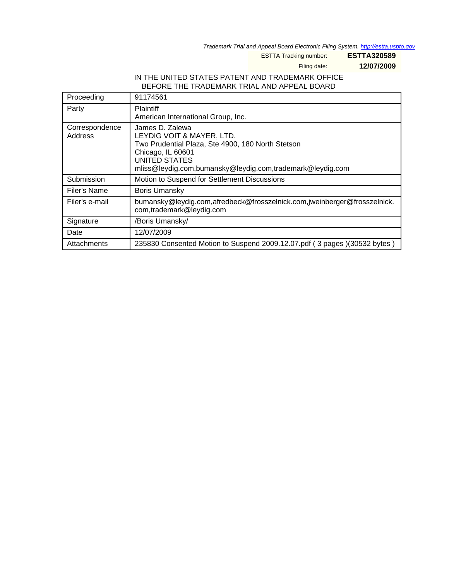Trademark Trial and Appeal Board Electronic Filing System. <http://estta.uspto.gov>

ESTTA Tracking number: **ESTTA320589**

Filing date: **12/07/2009**

## IN THE UNITED STATES PATENT AND TRADEMARK OFFICE BEFORE THE TRADEMARK TRIAL AND APPEAL BOARD

| Proceeding                | 91174561                                                                                                                                                                                             |
|---------------------------|------------------------------------------------------------------------------------------------------------------------------------------------------------------------------------------------------|
| Party                     | <b>Plaintiff</b><br>American International Group, Inc.                                                                                                                                               |
| Correspondence<br>Address | James D. Zalewa<br>LEYDIG VOIT & MAYER, LTD.<br>Two Prudential Plaza, Ste 4900, 180 North Stetson<br>Chicago, IL 60601<br>UNITED STATES<br>mliss@leydig.com,bumansky@leydig.com,trademark@leydig.com |
| Submission                | Motion to Suspend for Settlement Discussions                                                                                                                                                         |
| Filer's Name              | <b>Boris Umansky</b>                                                                                                                                                                                 |
| Filer's e-mail            | bumansky@leydig.com,afredbeck@frosszelnick.com,jweinberger@frosszelnick.<br>com,trademark@leydig.com                                                                                                 |
| Signature                 | /Boris Umansky/                                                                                                                                                                                      |
| Date                      | 12/07/2009                                                                                                                                                                                           |
| Attachments               | 235830 Consented Motion to Suspend 2009.12.07.pdf (3 pages)(30532 bytes)                                                                                                                             |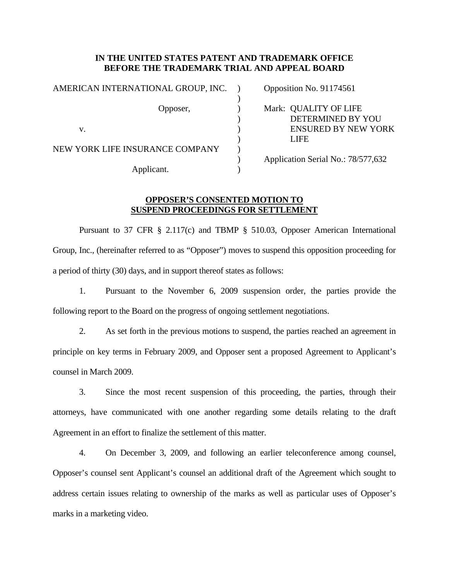## **IN THE UNITED STATES PATENT AND TRADEMARK OFFICE BEFORE THE TRADEMARK TRIAL AND APPEAL BOARD**

| AMERICAN INTERNATIONAL GROUP, INC. | Opposition No. 91174561                    |
|------------------------------------|--------------------------------------------|
| Opposer,                           | Mark: QUALITY OF LIFE<br>DETERMINED BY YOU |
| V.                                 | <b>ENSURED BY NEW YORK</b><br><b>LIFE</b>  |
| NEW YORK LIFE INSURANCE COMPANY    | Application Serial No.: 78/577,632         |
| Applicant.                         |                                            |

## **OPPOSER'S CONSENTED MOTION TO SUSPEND PROCEEDINGS FOR SETTLEMENT**

 Pursuant to 37 CFR § 2.117(c) and TBMP § 510.03, Opposer American International Group, Inc., (hereinafter referred to as "Opposer") moves to suspend this opposition proceeding for a period of thirty (30) days, and in support thereof states as follows:

1. Pursuant to the November 6, 2009 suspension order, the parties provide the following report to the Board on the progress of ongoing settlement negotiations.

2. As set forth in the previous motions to suspend, the parties reached an agreement in principle on key terms in February 2009, and Opposer sent a proposed Agreement to Applicant's counsel in March 2009.

3. Since the most recent suspension of this proceeding, the parties, through their attorneys, have communicated with one another regarding some details relating to the draft Agreement in an effort to finalize the settlement of this matter.

4. On December 3, 2009, and following an earlier teleconference among counsel, Opposer's counsel sent Applicant's counsel an additional draft of the Agreement which sought to address certain issues relating to ownership of the marks as well as particular uses of Opposer's marks in a marketing video.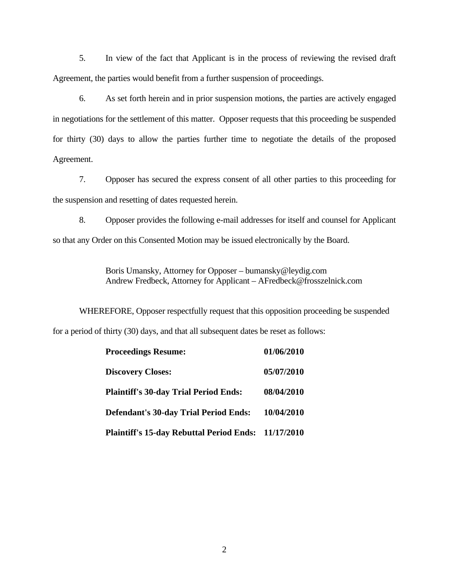5. In view of the fact that Applicant is in the process of reviewing the revised draft Agreement, the parties would benefit from a further suspension of proceedings.

6. As set forth herein and in prior suspension motions, the parties are actively engaged in negotiations for the settlement of this matter. Opposer requests that this proceeding be suspended for thirty (30) days to allow the parties further time to negotiate the details of the proposed Agreement.

7. Opposer has secured the express consent of all other parties to this proceeding for the suspension and resetting of dates requested herein.

8. Opposer provides the following e-mail addresses for itself and counsel for Applicant so that any Order on this Consented Motion may be issued electronically by the Board.

> Boris Umansky, Attorney for Opposer – bumansky@leydig.com Andrew Fredbeck, Attorney for Applicant – AFredbeck@frosszelnick.com

WHEREFORE, Opposer respectfully request that this opposition proceeding be suspended for a period of thirty (30) days, and that all subsequent dates be reset as follows:

| <b>Proceedings Resume:</b>                          | 01/06/2010 |
|-----------------------------------------------------|------------|
| <b>Discovery Closes:</b>                            | 05/07/2010 |
| <b>Plaintiff's 30-day Trial Period Ends:</b>        | 08/04/2010 |
| <b>Defendant's 30-day Trial Period Ends:</b>        | 10/04/2010 |
| Plaintiff's 15-day Rebuttal Period Ends: 11/17/2010 |            |